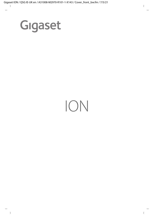

# ION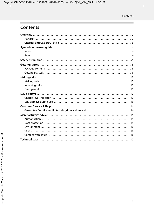## **Contents**

J.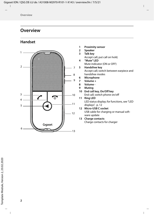## <span id="page-3-0"></span>**Overview**

## <span id="page-3-1"></span>**Handset**



- **1 Proximity sensor**
- **2 Speaker**
- **3 Talk key** 
	- Accept call; put call on hold;
- **4 "Mute" LED** Mute indicator (ON or OFF)
- **5 Handsfree key** Accept call; switch between earpiece and handsfree modes
- **6 Microphone**
- **7 Volume +**
- **8 Volume -**
- **9 Muting**
- **10 End call key, On/Off key** End call; switch phone on/off
- **11 Ring LED** LED status display; for functions, see "[LED](#page-13-2)  [displays](#page-13-2)", p. [12](#page-13-2)
- **12 Micro-USB C socket** USB cable for charging or manual soft ware update
- **13 Charge contacts** Charge contacts for charger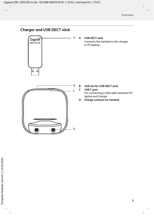## <span id="page-4-0"></span>**Charger and USB DECT stick**



**A USB DECT stick** Connects the handset to the charger or PC/laptop



**B USB slot for USB DECT stick**

#### **C USB C port**

A

For connecting a USB cable between PC/ laptop and charger

**D Charge contacts for handset**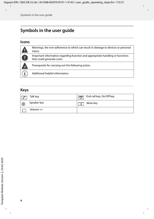# <span id="page-5-0"></span>**Symbols in the user guide**

## <span id="page-5-1"></span>**Icons**

| Warnings, the non-adherence to which can result in damage to devices or personal<br>injury.                  |
|--------------------------------------------------------------------------------------------------------------|
| Important information regarding function and appropriate handling or functions<br>that could generate costs. |
| Prerequisite for carrying out the following action.                                                          |
| Additional helpful information.                                                                              |

## <span id="page-5-2"></span>**Keys**

| Talk key     | $\boxed{\odot}$ End call key, On/Off key |
|--------------|------------------------------------------|
| Speaker key  | Mute key<br>- 25                         |
| Volume $+/-$ |                                          |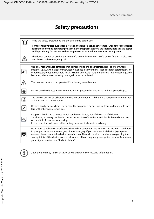# **Safety precautions**

|     | Read the safety precautions and the user quide before use.                                                                                                                                                                                                                                                                                                                                                                                                 |
|-----|------------------------------------------------------------------------------------------------------------------------------------------------------------------------------------------------------------------------------------------------------------------------------------------------------------------------------------------------------------------------------------------------------------------------------------------------------------|
|     | Comprehensive user guides for all telephones and telephone systems as well as for accessories<br>can be found online at gigasetpro.com in the Support category. We thereby help to save paper<br>while providing fast access to the complete up-to-date documentation at any time.                                                                                                                                                                         |
|     | The device cannot be used in the event of a power failure. In case of a power failure it is also not<br>possible to make emergency calls.                                                                                                                                                                                                                                                                                                                  |
|     |                                                                                                                                                                                                                                                                                                                                                                                                                                                            |
|     | Use only rechargeable batteries that correspond to the specification (see list of permitted<br>batteries • www.gigaset.com/service). Never use a conventional (non-rechargeable) battery or<br>other battery types as this could result in significant health risks and personal injury. Rechargeable<br>batteries, which are noticeably damaged, must be replaced.                                                                                        |
|     | The handset must not be operated if the battery cover is open.                                                                                                                                                                                                                                                                                                                                                                                             |
| ران | Do not use the devices in environments with a potential explosion hazard (e.g. paint shops).                                                                                                                                                                                                                                                                                                                                                               |
| g   | The devices are not splashproof. For this reason do not install them in a damp environment such<br>as bathrooms or shower rooms.                                                                                                                                                                                                                                                                                                                           |
|     | Remove faulty devices from use or have them repaired by our Service team, as these could inter-<br>fere with other wireless services.                                                                                                                                                                                                                                                                                                                      |
| €.  | Keep small cells and batteries, which can be swallowed, out of the reach of children.<br>Swallowing a battery can lead to burns, perforation of soft tissue and death. Severe burns can<br>occur within 2 hours of swallowing.<br>In the case of a swallowed cell or battery, seek medical care immediately.                                                                                                                                               |
|     | Using your telephone may affect nearby medical equipment. Be aware of the technical conditions<br>in your particular environment, e.g. doctor's surgery. If you use a medical device (e.g. a pace-<br>maker), please contact the device manufacturer. They will be able to advise you regarding the<br>susceptibility of the device to external sources of high frequency energy (for the specifications of<br>your Gigaset product see "Technical data"). |



Clean the proximity sensor occasionally to guarantee correct and safe function.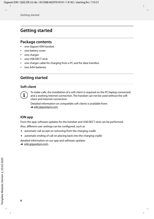## <span id="page-7-0"></span>**Getting started**

#### <span id="page-7-1"></span>**Package contents**

- one Gigaset ION handset
- one battery cover
- one charger
- one USB DECT stick
- one charger cable for charging from a PC and for data transfers
- two AAA batteries

## <span id="page-7-2"></span>**Getting started**

#### **Soft client**



To make calls, the installation of a soft client is required on the PC/laptop connected, and a working Internet connection. The handset can not be used without the soft client and Internet connection.

Detailed information on compatible soft clients is available from: [wiki.gigasetpro.com](https://www.wiki.gigasetpro.com).

#### **ION app**

From the app, software updates for the handset and USB DECT stick can be performed.

Also, different user settings can be configured, such as

- automatic call accept on removing from the charging cradle
- automatic ending of call on placing back into the charging cradle

detailed information on our app and software updates

**→** [wiki.gigasetpro.com.](https://www.wiki.gigasetpro.com)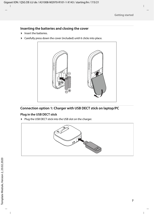#### **Inserting the batteries and closing the cover**

- Insert the batteries.
- Carefully press down the cover (included) until it clicks into place.



#### **Connection option 1: Charger with USB DECT stick on laptop/PC**

#### **Plug in the USB DECT stick**

Plug the USB DECT stick into the USB slot on the charger.

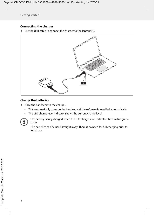#### **Connecting the charger**

Use the USB cable to connect the charger to the laptop/PC.



#### **Charge the batteries**

- $\blacktriangleright$  Place the handset into the charger.
	- This automatically turns on the handset and the software is installed automatically.
	- The LED charge level indicator shows the current charge level.



The battery is fully charged when the LED charge level indicator shows a full green circle.

The batteries can be used straight away. There is no need for full charging prior to initial use.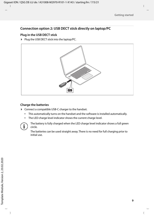#### **Connection option 2: USB DECT stick directly on laptop/PC**

#### **Plug in the USB DECT stick**

Plug the USB DECT stick into the laptop/PC.



#### **Charge the batteries**

- Connect a compatible USB-C charger to the handset.
	- This automatically turns on the handset and the software is installed automatically.
	- The LED charge level indicator shows the current charge level.



The battery is fully charged when the LED charge level indicator shows a full green circle.

The batteries can be used straight away. There is no need for full charging prior to initial use.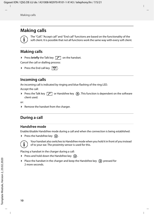## <span id="page-11-0"></span>**Making calls**

The "Call", "Accept call" and "End call" functions are based on the functionality of the soft client. It is possible that not all functions work the same way with every soft client.

### <span id="page-11-1"></span>**Making calls**

**Press briefly** the Talk key  $\boxed{\frown}$  on the handset.

Cancel the call or dialling process:

Press the End call key  $\sqrt{2}$ .

#### <span id="page-11-2"></span>**Incoming calls**

An incoming call is indicated by ringing and blue flashing of the ring LED.

Accept the call:

Press the Talk key  $\lceil \cdot \rceil$  or Handsfree key  $\lceil \cdot \rceil$ . This function is dependent on the software client used.

or:

 $\blacktriangleright$  Remove the handset from the charger.

## <span id="page-11-3"></span>**During a call**

#### **Handsfree mode**

Enable/disable Handsfree mode during a call and when the connection is being established:

Press the handsfree key  $\mathbf{Q}$ .



Your handset also switches to Handsfree mode when you hold it in front of you instead of to your ear. The proximity sensor is used for this.

Placing a handset in the charger during a call:

- Press and hold down the Handsfree key  $\bigcirc$ .
- Place the handset in the charger and keep the Handsfree key  $\bigcap$  pressed for 2 more seconds.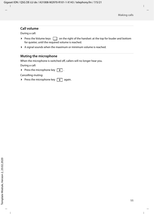#### **Call volume**

During a call:

- Press the Volume keys  $\Box$  on the right of the handset: at the top for louder and bottom for quieter, until the required volume is reached.
- A signal sounds when the maximum or minimum volume is reached.

#### **Muting the microphone**

When the microphone is switched off, callers will no longer hear you.

During a call:

Press the microphone key  $\boxed{\mathcal{F}}$ .

Cancelling muting:

Press the microphone key  $\boxed{\mathcal{Z}}$  again.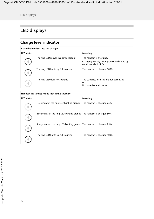<span id="page-13-2"></span>×

# <span id="page-13-0"></span>**LED displays**

## <span id="page-13-1"></span>**Charge level indicator**

| Place the handset into the charger |                                        |                                                                                                   |  |
|------------------------------------|----------------------------------------|---------------------------------------------------------------------------------------------------|--|
| <b>LED status</b>                  |                                        | Meaning                                                                                           |  |
|                                    | The ring LED moves in a circle (green) | The handset is charging.<br>Charging already taken place is indicated by<br>continuously lit LEDs |  |
|                                    | The ring LED lights up full in green   | The handset is charged 100%                                                                       |  |
|                                    | The ring LED does not light up         | The batteries inserted are not permitted<br>or<br>No batteries are inserted                       |  |

| Handset in Standby mode (not in the charger) |                                                                       |                             |
|----------------------------------------------|-----------------------------------------------------------------------|-----------------------------|
| <b>LED</b> status                            |                                                                       | Meaning                     |
|                                              | 1 segment of the ring LED lighting orange                             | The handset is charged 25%  |
|                                              | 2 segments of the ring LED lighting orange The handset is charged 50% |                             |
|                                              | 3 segments of the ring LED lighting green                             | The handset is charged 75%  |
|                                              | The ring LED lights up full in green                                  | The handset is charged 100% |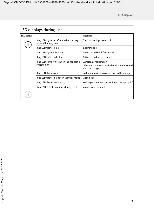## <span id="page-14-0"></span>**LED displays during use**

| <b>LED status</b> |                                                                        | Meaning                                                                                             |
|-------------------|------------------------------------------------------------------------|-----------------------------------------------------------------------------------------------------|
|                   | Ring LED lights red after the End call key is<br>pressed for long time | The handset is powered off                                                                          |
|                   | Ring LED flashes blue                                                  | Incoming call                                                                                       |
|                   | Ring LED lights light blue                                             | Active call in Handsfree mode                                                                       |
|                   | Ring LED lights dark blue                                              | Active call in Earpiece mode                                                                        |
|                   | Ring LED lights white when the handset is<br>switched on               | LED signals registration.<br>LED goes out as soon as the handset is registered<br>with the charger. |
|                   | Ring LED flashes white                                                 | No longer a wireless connection to the charger                                                      |
|                   | Ring LED flashes orange in Standby mode                                | Missed call                                                                                         |
|                   | Ring LED flashes red quickly                                           | No longer a wireless connection to the laptop/PC                                                    |
|                   | "Mute" LED flashes orange during a call                                | Microphone is muted                                                                                 |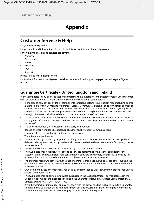## **Appendix**

## <span id="page-15-0"></span>**Customer Service & Help**

Do you have any questions?

For quick help and information, please refer to this user quide or visit [gigasetpro.com](https://www.gigasetpro.com).

For online information and services concerning

- **Products**
- Documents
- **Interop**
- **Firmware**
- FAQ
- **Support**

#### please refer to [wiki.gigasetpro.com.](http://wiki.gigasetpro.com)

For further information our Gigaset specialised reseller will be happy to help you related to your Gigaset product.

## <span id="page-15-1"></span>**Guarantee Certificate - United Kingdom and Ireland**

Without prejudice to any claim the user (customer) may have in relation to the dealer or retailer, the customer shall be granted a manufacturer's Guarantee under the conditions set out below:

- In the case of new devices and their components exhibiting defects resulting from manufacturing and/or material faults within 24 months of purchase, Gigaset Communications shall, at its own option and free of charge, either replace the device with another device reflecting the current state of the art, or repair the said device. In respect of parts subject to wear and tear (including but not limited to, batteries, keypads, casing), this warranty shall be valid for six months from the date of purchase.
- This Guarantee shall be invalid if the device defect is attributable to improper care or use and/or failure to comply with information contained in the user manuals. In particular claims under the Guarantee cannot be made if:
- The device is opened (this is classed as third party intervention)
- Repairs or other work done by persons not authorised by Gigaset Communications.
- Components on the printed circuit board are manipulated
- The software is manipulated
- Defects or damage caused by dropping, breaking, lightning or ingress of moisture. This also applies if defects or damage was caused by mechanical, chemical, radio interference or thermal factors (e.g.: microwave, sauna etc.)
- Devices fitted with accessories not authorised by Gigaset Communications
- This Guarantee shall not apply to or extend to services performed by the authorised dealer or the customer themselves (e.g. installation, configuration, software downloads). User manuals and any software supplied on a separate data medium shall be excluded from the Guarantee.
- The purchase receipt, together with the date of purchase, shall be required as evidence for invoking the Guarantee. Claims under the Guarantee must be submitted within two months of the Guarantee default becoming evident.
- Ownership of devices or components replaced by and returned to Gigaset Communications shall vest in Gigaset Communications.
- This Guarantee shall apply to new devices purchased in the European Union. For Products sold in the United Kingdom and in the Republic of Ireland the Guarantee is issued by: Gigaset Communications UK Limited, 2 White Friars, Chester, CH1 1NZ.
- Any other claims resulting out of or in connection with the device shall be excluded from this Guarantee. Nothing in this Guarantee shall attempt to limit or exclude a Customers Statutory Rights, nor the manufacturer's liability for death or personal injury resulting from its negligence.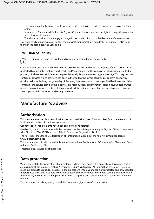- The duration of the Guarantee shall not be extended by services rendered under the terms of the Guarantee.
- Insofar as no Guarantee default exists, Gigaset Communications reserves the right to charge the customer for replacement or repair.
- The above provisions do not imply a change in the burden of proof to the detriment of the customer.

To invoke this Guarantee, please contact the Gigaset Communications helpdesk. This number is also to be found in the accompanying user guide.

#### **Exclusion of liability**



Signs of wear on the display and casing are excluded from the warranty.

Certain content and services which can be accessed using this device are the property of third parties and are protected by copyrights, patents, trademarks and/or other laws for the purpose of safeguarding intellectual property. Such content and services are provided solely for non-commercial, private usage. You may not use content or services which has/have not been authorised by the owner of particular content or a service provider. Without limiting the generality of the foregoing, except as expressly specified by the owner of the content or the service provider, the modification, reproduction, dissemination, uploading, publication, transmission, translation, sale, creation of derived works, distribution of content or services shown on this device are not permitted in any form and on any medium.

## <span id="page-16-0"></span>**Manufacturer's advice**

#### <span id="page-16-1"></span>**Authorisation**

This device is intended for use worldwide. Use outside the European Economic Area (with the exception of Switzerland) is subject to national approval.

Country-specific requirements have been taken into consideration.

Hereby, Gigaset Communications GmbH declares that the radio equipment type Gigaset ION is in compliance with Directive 2014/53/EU and the UK Radio Equipment Regulations 2017.

The full text of the EU and UK declaration of conformity is available at the following internet address: [www.gigaset.com/docs.](https://www.gigaset.com/docs)

This declaration could also be available in the "International Declarations of Conformity" or "European Declarations of Conformity" files.

Therefore please check all of these files.

## <span id="page-16-2"></span>**Data protection**

We at Gigaset take the protection of our customers' data very seriously. It is precisely for this reason that we are ensuring all our products feature "Privacy by Design" as standard. All information we collect is used to make our products as good as possible. In the process, we ensure your details are protected and only used for the purposes of making available to you a product or service. We know which path your data takes through the company and ensure this happens in line with data protection specifications in a secure and protected manner.

The full text of the privacy policy is available from: [www.gigaset.com/privacy-policy](https://www.gigaset.com/privacy-policy)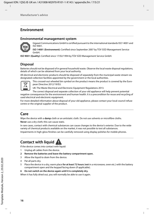## <span id="page-17-0"></span>**Environment**

#### **Environmental management system**



Gigaset Communications GmbH is certified pursuant to the international standards ISO 14001 and ISO 9001.

**ISO 14001 (Environment):** Certified since September 2007 by TÜV SÜD Management Service GmbH.

**ISO 9001 (Quality):** Certified since 17/02/1994 by TÜV SÜD Management Service GmbH.

#### **Disposal**

Batteries should not be disposed of in general household waste. Observe the local waste disposal regulations, details of which can be obtained from your local authority.

All electrical and electronic products should be disposed of separately from the municipal waste stream via designated collection facilities appointed by the government or the local authorities.



This crossed-out wheeled bin symbol on the product means the product is covered by the European Directive 2012/19/EU.

UK: The Waste Electrical and Electronic Equipment Regulations 2013.

The correct disposal and separate collection of your old appliance will help prevent potential negative consequences for the environment and human health. It is a precondition for reuse and recycling of

used electrical and electronic equipment. For more detailed information about disposal of your old appliance, please contact your local council refuse centre or the original supplier of the product.

#### <span id="page-17-1"></span>**Care**

Wipe the device with a **damp** cloth or an antistatic cloth. Do not use solvents or microfibre cloths.

**Never** use a dry cloth; this can cause static.

In rare cases, contact with chemical substances can cause changes to the device's exterior. Due to the wide variety of chemical products available on the market, it was not possible to test all substances.

Impairments in high-gloss finishes can be carefully removed using display polishes for mobile phones.

## <span id="page-17-2"></span>**Contact with liquid**

If the device comes into contact with liquid:

- 1 Unplug all cables from the device.
- **2 Remove the batteries and leave the battery compartment open.**
- 3 Allow the liquid to drain from the device.
- 4 Pat all parts dry.
- 5 Place the device in a dry, warm place **for at least 72 hours** (**not** in a microwave, oven etc.) with the battery compartment open and the keypad facing down (if applicable).
- **6 Do not switch on the device again until it is completely dry.**

When it has fully dried out, you will normally be able to use it again.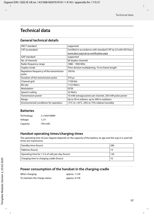## <span id="page-18-0"></span>**Technical data**

#### **General technical details**

| DECT standard                                     | supported                                                      |
|---------------------------------------------------|----------------------------------------------------------------|
| CAT-iq standard                                   | Certified in accordance with standard CAT-iq 2.0 with HD Voice |
|                                                   | www.dect.org/cat-ig-certification.aspx                         |
| <b>GAP</b> standard                               | supported                                                      |
| No. of channels                                   | 60 duplex channels                                             |
| Radio frequency range                             | 1880 - 1900 MHz                                                |
| Duplex mode                                       | Time division multiplexing, 10 ms frame length                 |
| Repetition frequency of the transmission<br>pulse | 100 Hz                                                         |
| Duration of the transmission pulse                | 370 µs                                                         |
| Channel grid                                      | 1728 kHz                                                       |
| <b>Bit rate</b>                                   | 1152 Kbit/s                                                    |
| Modulation                                        | GFSK                                                           |
| Speech coding                                     | 32 Kbit/s                                                      |
| Transmission power                                | 10 mW average power per channel, 250 mW pulse power            |
| Range                                             | Up to 50 m indoors, up to 300 m outdoors                       |
| Environmental conditions for operation            | +5°C to +45°C, 20% to 75% relative humidity                    |

#### **Batteries**

| Technology: | 2 x AAA NiMH |
|-------------|--------------|
| Voltage:    | 1.2V         |
| Capacity:   | 750 mAh      |

#### **Handset operating times/charging times**

The operating time of your Gigaset depends on the capacity of the battery, its age and the way it is used (all times are maximums).

| Standby time (hours)                              | 280 |
|---------------------------------------------------|-----|
| Talktime (hours)                                  | 14  |
| Operating time for 1.5 h of calls per day (hours) | 120 |
| Charging time in charging cradle (hours)          | 16  |

#### **Power consumption of the handset in the charging cradle**

| When charging:                 | approx. 1.5 W |
|--------------------------------|---------------|
| To maintain the charge status: | approx. 0.5 W |